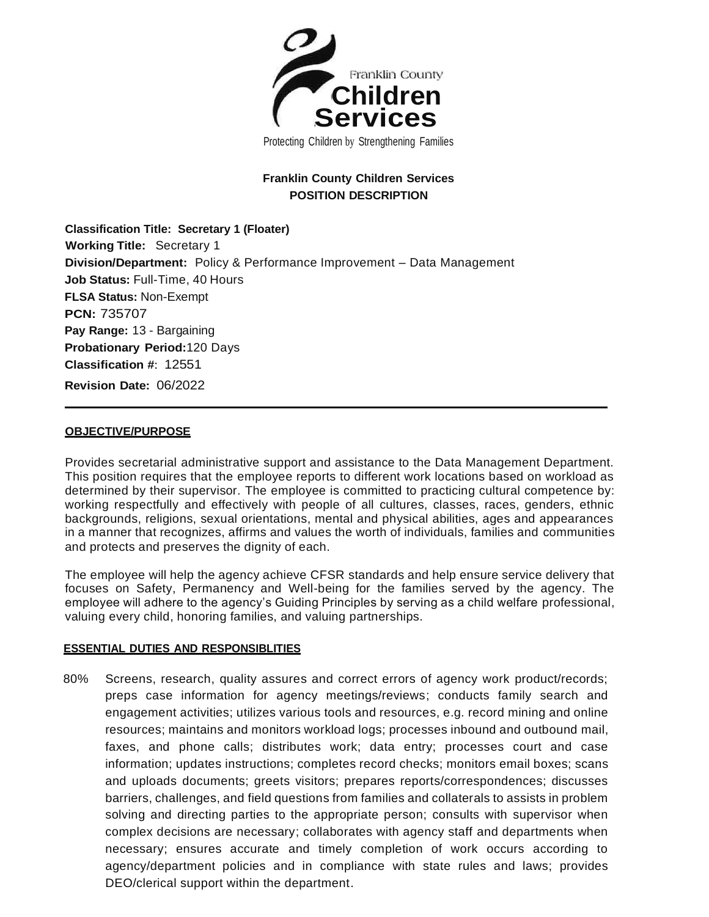

# **Franklin County Children Services POSITION DESCRIPTION**

**Classification Title: Secretary 1 (Floater) Working Title:** Secretary 1 **Division/Department:** Policy & Performance Improvement – Data Management **Job Status:** Full-Time, 40 Hours **FLSA Status:** Non-Exempt **PCN:** 735707 **Pay Range:** 13 - Bargaining **Probationary Period:**120 Days **Classification #**: 12551 **Revision Date:** 06/2022

## **OBJECTIVE/PURPOSE**

Provides secretarial administrative support and assistance to the Data Management Department. This position requires that the employee reports to different work locations based on workload as determined by their supervisor. The employee is committed to practicing cultural competence by: working respectfully and effectively with people of all cultures, classes, races, genders, ethnic backgrounds, religions, sexual orientations, mental and physical abilities, ages and appearances in a manner that recognizes, affirms and values the worth of individuals, families and communities and protects and preserves the dignity of each.

The employee will help the agency achieve CFSR standards and help ensure service delivery that focuses on Safety, Permanency and Well-being for the families served by the agency. The employee will adhere to the agency's Guiding Principles by serving as a child welfare professional, valuing every child, honoring families, and valuing partnerships.

## **ESSENTIAL DUTIES AND RESPONSIBLITIES**

80% Screens, research, quality assures and correct errors of agency work product/records; preps case information for agency meetings/reviews; conducts family search and engagement activities; utilizes various tools and resources, e.g. record mining and online resources; maintains and monitors workload logs; processes inbound and outbound mail, faxes, and phone calls; distributes work; data entry; processes court and case information; updates instructions; completes record checks; monitors email boxes; scans and uploads documents; greets visitors; prepares reports/correspondences; discusses barriers, challenges, and field questions from families and collaterals to assists in problem solving and directing parties to the appropriate person; consults with supervisor when complex decisions are necessary; collaborates with agency staff and departments when necessary; ensures accurate and timely completion of work occurs according to agency/department policies and in compliance with state rules and laws; provides DEO/clerical support within the department.